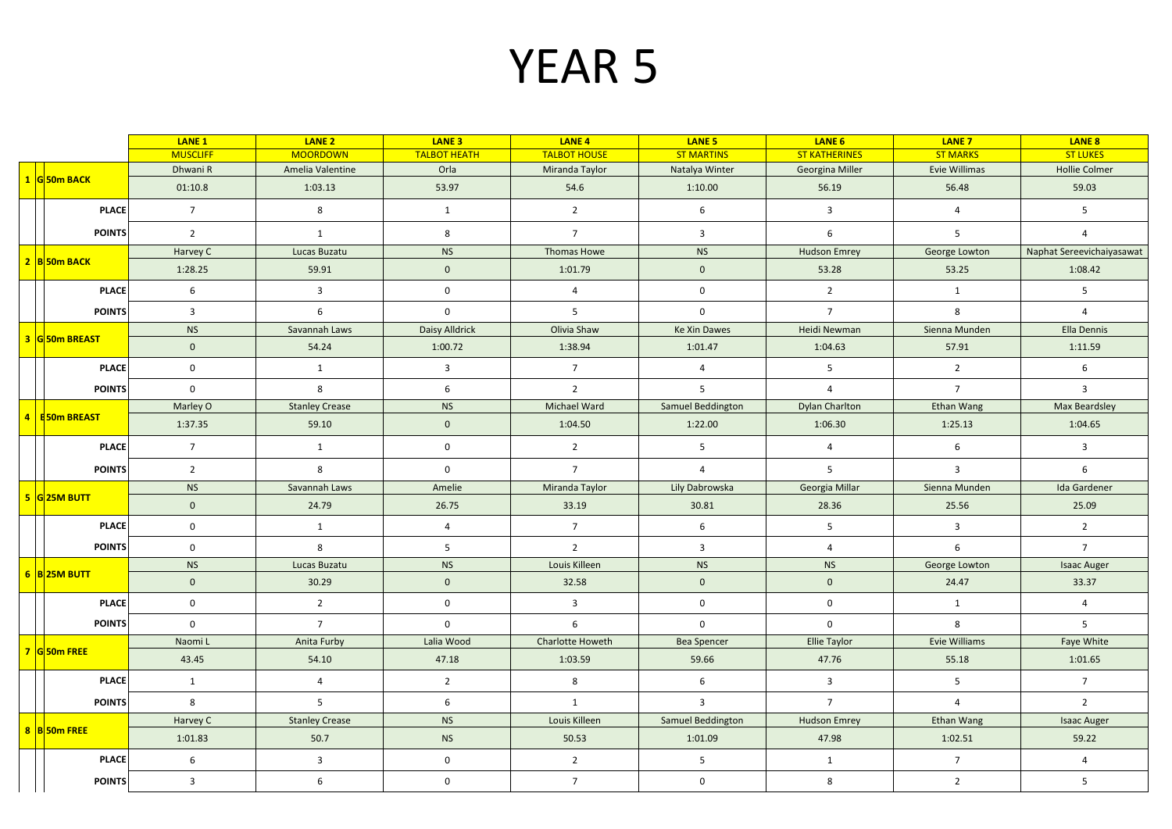## YEAR 5

|                |                    | <b>LANE 1</b>           | LANE <sub>2</sub>       | LANE <sub>3</sub>   | LANE <sub>4</sub>   | LANE <sub>5</sub>   | LANE 6                  | <b>LANE 7</b>     | LANE 8                    |
|----------------|--------------------|-------------------------|-------------------------|---------------------|---------------------|---------------------|-------------------------|-------------------|---------------------------|
|                |                    | <b>MUSCLIFF</b>         | <b>MOORDOWN</b>         | <b>TALBOT HEATH</b> | <b>TALBOT HOUSE</b> | <b>ST MARTINS</b>   | <b>ST KATHERINES</b>    | <b>ST MARKS</b>   | <b>ST LUKES</b>           |
|                | 1 G 50m BACK       | Dhwani R                | Amelia Valentine        | Orla                | Miranda Taylor      | Natalya Winter      | Georgina Miller         | Evie Willimas     | <b>Hollie Colmer</b>      |
|                |                    | 01:10.8                 | 1:03.13                 | 53.97               | 54.6                | 1:10.00             | 56.19                   | 56.48             | 59.03                     |
|                | <b>PLACE</b>       | $7\overline{ }$         | 8                       | $\mathbf{1}$        | $\overline{2}$      | 6                   | $\overline{\mathbf{3}}$ | $\overline{4}$    | 5                         |
|                | <b>POINTS</b>      | $\overline{2}$          | $\mathbf{1}$            | 8                   | $\overline{7}$      | $\overline{3}$      | 6                       | 5 <sup>1</sup>    | $\overline{4}$            |
|                | 2 B 50m BACK       | Harvey C                | Lucas Buzatu            | <b>NS</b>           | Thomas Howe         | <b>NS</b>           | <b>Hudson Emrey</b>     | George Lowton     | Naphat Sereevichaiyasawat |
|                |                    | 1:28.25                 | 59.91                   | $\mathbf{0}$        | 1:01.79             | $\mathbf 0$         | 53.28                   | 53.25             | 1:08.42                   |
|                | <b>PLACE</b>       | 6                       | $\overline{3}$          | $\mathbf 0$         | $\overline{4}$      | $\mathbf 0$         | $\overline{2}$          | $\mathbf{1}$      | 5 <sup>5</sup>            |
|                | <b>POINTS</b>      | 3                       | 6                       | $\mathsf{O}$        | 5                   | $\mathbf 0$         | $\overline{7}$          | 8                 | $\overline{4}$            |
|                | 3 G 50m BREAST     | <b>NS</b>               | Savannah Laws           | Daisy Alldrick      | Olivia Shaw         | <b>Ke Xin Dawes</b> | Heidi Newman            | Sienna Munden     | Ella Dennis               |
|                |                    | $\mathbf{0}$            | 54.24                   | 1:00.72             | 1:38.94             | 1:01.47             | 1:04.63                 | 57.91             | 1:11.59                   |
|                | <b>PLACE</b>       | $\mathbf 0$             | $\mathbf{1}$            | $\overline{3}$      | $7^{\circ}$         | $\overline{4}$      | $5^{\circ}$             | $\overline{2}$    | 6                         |
|                | <b>POINTS</b>      | $\mathbf 0$             | 8                       | 6                   | $\overline{2}$      | 5 <sup>1</sup>      | $\overline{4}$          | $\overline{7}$    | $\overline{3}$            |
|                |                    | Marley O                | <b>Stanley Crease</b>   | <b>NS</b>           | Michael Ward        | Samuel Beddington   | Dylan Charlton          | <b>Ethan Wang</b> | <b>Max Beardsley</b>      |
| $\overline{4}$ | <b>B50m BREAST</b> | 1:37.35                 | 59.10                   | $\mathbf{0}$        | 1:04.50             | 1:22.00             | 1:06.30                 | 1:25.13           | 1:04.65                   |
|                | <b>PLACE</b>       | $\overline{7}$          | 1                       | $\mathbf{0}$        | 2                   | 5 <sup>7</sup>      | $\overline{4}$          | 6                 | $\overline{3}$            |
|                | <b>POINTS</b>      | $\overline{2}$          | 8                       | $\mathsf 0$         | $7^{\circ}$         | $\overline{4}$      | 5                       | $\overline{3}$    | 6                         |
|                |                    | <b>NS</b>               | Savannah Laws           | Amelie              | Miranda Taylor      | Lily Dabrowska      | Georgia Millar          | Sienna Munden     | Ida Gardener              |
|                | 5 G 25M BUTT       | $\mathbf{0}$            | 24.79                   | 26.75               | 33.19               | 30.81               | 28.36                   | 25.56             | 25.09                     |
|                | <b>PLACE</b>       | $\mathbf 0$             | $\mathbf{1}$            | $\overline{4}$      | $\overline{7}$      | 6                   | 5                       | $\overline{3}$    | $\overline{2}$            |
|                | <b>POINTS</b>      | $\mathsf 0$             | 8                       | 5                   | $\overline{2}$      | $\overline{3}$      | $\overline{4}$          | 6                 | $7\overline{ }$           |
|                |                    | <b>NS</b>               | Lucas Buzatu            | <b>NS</b>           | Louis Killeen       | <b>NS</b>           | <b>NS</b>               | George Lowton     | <b>Isaac Auger</b>        |
|                | $6$ B 25M BUTT     | $\mathbf{0}$            | 30.29                   | $\mathbf{0}$        | 32.58               | $\mathbf{0}$        | $\mathbf{0}$            | 24.47             | 33.37                     |
|                | <b>PLACE</b>       | $\mathbf 0$             | $\overline{2}$          | $\mathbf 0$         | $\overline{3}$      | $\mathbf 0$         | $\mathbf{0}$            | 1                 | $\overline{4}$            |
|                | <b>POINTS</b>      | $\mathsf 0$             | $7^{\circ}$             | $\mathsf 0$         | 6                   | $\mathsf{O}$        | 0                       | 8                 | 5                         |
|                | 7 G 50m FREE       | Naomi L                 | Anita Furby             | Lalia Wood          | Charlotte Howeth    | <b>Bea Spencer</b>  | Ellie Taylor            | Evie Williams     | Faye White                |
|                |                    | 43.45                   | 54.10                   | 47.18               | 1:03.59             | 59.66               | 47.76                   | 55.18             | 1:01.65                   |
|                | <b>PLACE</b>       | $\mathbf{1}$            | $\overline{4}$          | $\overline{2}$      | 8                   | $6\overline{6}$     | $\overline{\mathbf{3}}$ | 5                 | $7^{\circ}$               |
|                | <b>POINTS</b>      | 8                       | 5                       | 6                   | 1                   | $\overline{3}$      | $\overline{7}$          | $\overline{4}$    | $\overline{2}$            |
|                | 8 B 50m FREE       | Harvey C                | <b>Stanley Crease</b>   | <b>NS</b>           | Louis Killeen       | Samuel Beddington   | <b>Hudson Emrey</b>     | <b>Ethan Wang</b> | <b>Isaac Auger</b>        |
|                |                    | 1:01.83                 | 50.7                    | <b>NS</b>           | 50.53               | 1:01.09             | 47.98                   | 1:02.51           | 59.22                     |
|                | <b>PLACE</b>       | 6                       | $\overline{\mathbf{3}}$ | $\mathbf 0$         | $\overline{2}$      | 5 <sup>5</sup>      | 1                       | $\overline{7}$    | $\overline{4}$            |
|                | <b>POINTS</b>      | $\overline{\mathbf{3}}$ | 6                       | $\mathbf 0$         | $7\overline{ }$     | $\mathbf 0$         | 8                       | $\overline{2}$    | 5                         |